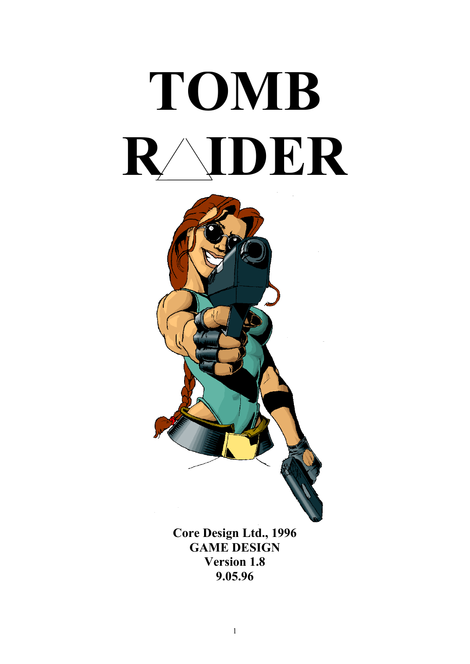



**GAME DESIGN Version 1.8 9.05.96**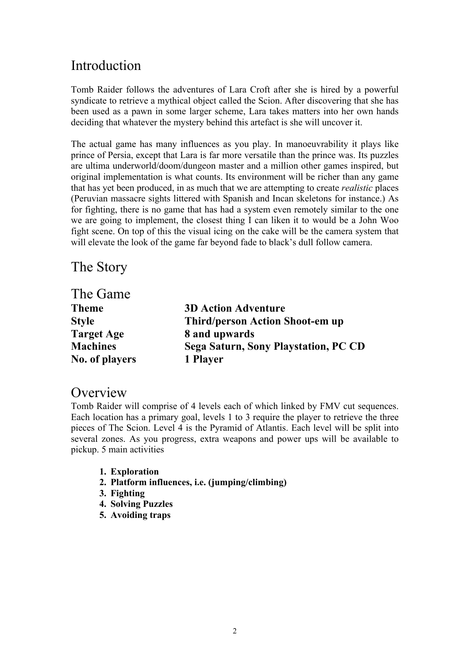# **Introduction**

Tomb Raider follows the adventures of Lara Croft after she is hired by a powerful syndicate to retrieve a mythical object called the Scion. After discovering that she has been used as a pawn in some larger scheme, Lara takes matters into her own hands deciding that whatever the mystery behind this artefact is she will uncover it.

The actual game has many influences as you play. In manoeuvrability it plays like prince of Persia, except that Lara is far more versatile than the prince was. Its puzzles are ultima underworld/doom/dungeon master and a million other games inspired, but original implementation is what counts. Its environment will be richer than any game that has yet been produced, in as much that we are attempting to create *realistic* places (Peruvian massacre sights littered with Spanish and Incan skeletons for instance.) As for fighting, there is no game that has had a system even remotely similar to the one we are going to implement, the closest thing I can liken it to would be a John Woo fight scene. On top of this the visual icing on the cake will be the camera system that will elevate the look of the game far beyond fade to black's dull follow camera.

The Story

| The Game          |                                        |
|-------------------|----------------------------------------|
| <b>Theme</b>      | <b>3D Action Adventure</b>             |
| <b>Style</b>      | <b>Third/person Action Shoot-em up</b> |
| <b>Target Age</b> | 8 and upwards                          |
| <b>Machines</b>   | Sega Saturn, Sony Playstation, PC CD   |
| No. of players    | 1 Player                               |

# **Overview**

Tomb Raider will comprise of 4 levels each of which linked by FMV cut sequences. Each location has a primary goal, levels 1 to 3 require the player to retrieve the three pieces of The Scion. Level 4 is the Pyramid of Atlantis. Each level will be split into several zones. As you progress, extra weapons and power ups will be available to pickup. 5 main activities

- **1. Exploration**
- **2. Platform influences, i.e. (jumping/climbing)**
- **3. Fighting**
- **4. Solving Puzzles**
- **5. Avoiding traps**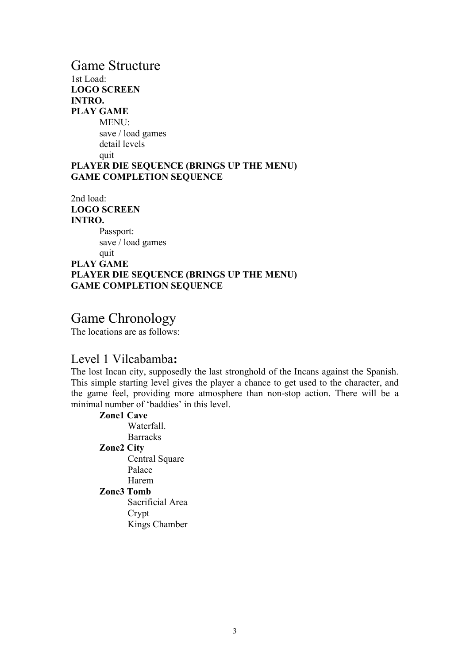# Game Structure 1st Load: **LOGO SCREEN INTRO. PLAY GAME** MENU: save / load games detail levels quit **PLAYER DIE SEQUENCE (BRINGS UP THE MENU) GAME COMPLETION SEQUENCE**

2nd load: **LOGO SCREEN INTRO.** Passport: save / load games quit **PLAY GAME PLAYER DIE SEQUENCE (BRINGS UP THE MENU) GAME COMPLETION SEQUENCE**

# Game Chronology

The locations are as follows:

# Level 1 Vilcabamba**:**

The lost Incan city, supposedly the last stronghold of the Incans against the Spanish. This simple starting level gives the player a chance to get used to the character, and the game feel, providing more atmosphere than non-stop action. There will be a minimal number of 'baddies' in this level.

## **Zone1 Cave** Waterfall. **Barracks Zone2 City** Central Square Palace Harem **Zone3 Tomb** Sacrificial Area Crypt

Kings Chamber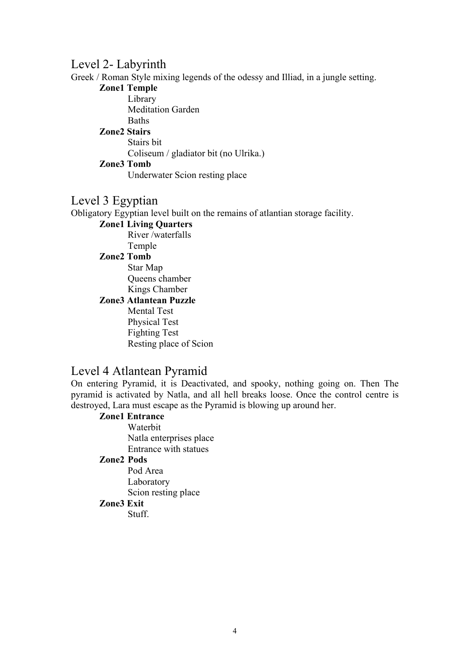# Level 2- Labyrinth

Greek / Roman Style mixing legends of the odessy and Illiad, in a jungle setting.

## **Zone1 Temple**

Library Meditation Garden **Baths** 

## **Zone2 Stairs**

Stairs bit Coliseum / gladiator bit (no Ulrika.) **Zone3 Tomb**

Underwater Scion resting place

# Level 3 Egyptian

Obligatory Egyptian level built on the remains of atlantian storage facility.

# **Zone1 Living Quarters**

River /waterfalls Temple

## **Zone2 Tomb**

Star Map Queens chamber Kings Chamber

# **Zone3 Atlantean Puzzle**

Mental Test Physical Test Fighting Test Resting place of Scion

# Level 4 Atlantean Pyramid

On entering Pyramid, it is Deactivated, and spooky, nothing going on. Then The pyramid is activated by Natla, and all hell breaks loose. Once the control centre is destroyed, Lara must escape as the Pyramid is blowing up around her.

# **Zone1 Entrance**

Waterbit Natla enterprises place Entrance with statues

# **Zone2 Pods**

Pod Area Laboratory Scion resting place **Zone3 Exit**

Stuff.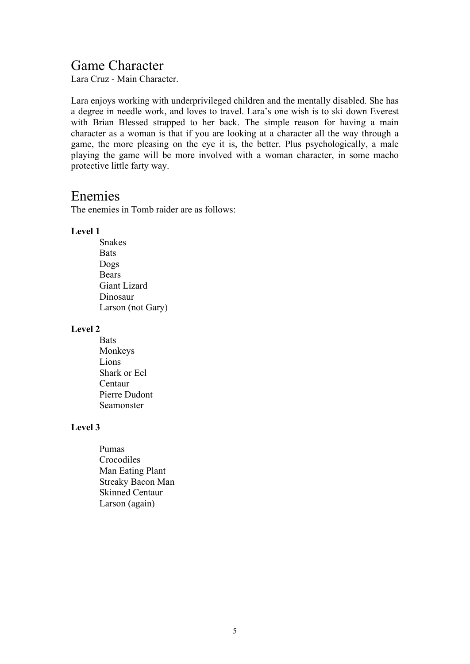# Game Character

Lara Cruz - Main Character.

Lara enjoys working with underprivileged children and the mentally disabled. She has a degree in needle work, and loves to travel. Lara's one wish is to ski down Everest with Brian Blessed strapped to her back. The simple reason for having a main character as a woman is that if you are looking at a character all the way through a game, the more pleasing on the eye it is, the better. Plus psychologically, a male playing the game will be more involved with a woman character, in some macho protective little farty way.

# Enemies

The enemies in Tomb raider are as follows:

## **Level 1**

Snakes **Bats** Dogs Bears Giant Lizard Dinosaur Larson (not Gary)

## **Level 2**

**Bats** Monkeys Lions Shark or Eel Centaur Pierre Dudont Seamonster

# **Level 3**

Pumas Crocodiles Man Eating Plant Streaky Bacon Man Skinned Centaur Larson (again)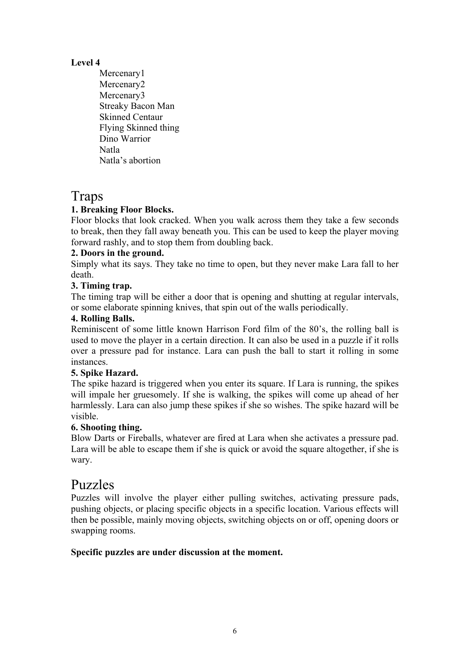# **Level 4**

Mercenary1 Mercenary2 Mercenary3 Streaky Bacon Man Skinned Centaur Flying Skinned thing Dino Warrior Natla Natla's abortion

# Traps

# **1. Breaking Floor Blocks.**

Floor blocks that look cracked. When you walk across them they take a few seconds to break, then they fall away beneath you. This can be used to keep the player moving forward rashly, and to stop them from doubling back.

# **2. Doors in the ground.**

Simply what its says. They take no time to open, but they never make Lara fall to her death.

# **3. Timing trap.**

The timing trap will be either a door that is opening and shutting at regular intervals, or some elaborate spinning knives, that spin out of the walls periodically.

# **4. Rolling Balls.**

Reminiscent of some little known Harrison Ford film of the 80's, the rolling ball is used to move the player in a certain direction. It can also be used in a puzzle if it rolls over a pressure pad for instance. Lara can push the ball to start it rolling in some instances.

# **5. Spike Hazard.**

The spike hazard is triggered when you enter its square. If Lara is running, the spikes will impale her gruesomely. If she is walking, the spikes will come up ahead of her harmlessly. Lara can also jump these spikes if she so wishes. The spike hazard will be visible.

# **6. Shooting thing.**

Blow Darts or Fireballs, whatever are fired at Lara when she activates a pressure pad. Lara will be able to escape them if she is quick or avoid the square altogether, if she is wary.

# Puzzles

Puzzles will involve the player either pulling switches, activating pressure pads, pushing objects, or placing specific objects in a specific location. Various effects will then be possible, mainly moving objects, switching objects on or off, opening doors or swapping rooms.

# **Specific puzzles are under discussion at the moment.**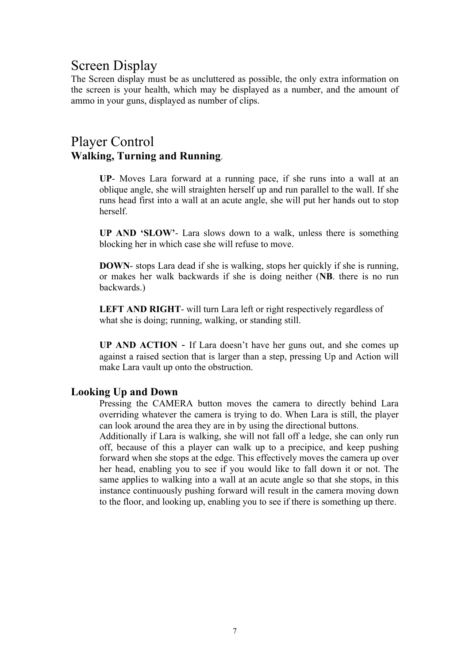# Screen Display

The Screen display must be as uncluttered as possible, the only extra information on the screen is your health, which may be displayed as a number, and the amount of ammo in your guns, displayed as number of clips.

# Player Control **Walking, Turning and Running**.

**UP**- Moves Lara forward at a running pace, if she runs into a wall at an oblique angle, she will straighten herself up and run parallel to the wall. If she runs head first into a wall at an acute angle, she will put her hands out to stop herself.

**UP AND 'SLOW'**- Lara slows down to a walk, unless there is something blocking her in which case she will refuse to move.

**DOWN**- stops Lara dead if she is walking, stops her quickly if she is running, or makes her walk backwards if she is doing neither (**NB**. there is no run backwards.)

**LEFT AND RIGHT**- will turn Lara left or right respectively regardless of what she is doing; running, walking, or standing still.

**UP AND ACTION** - If Lara doesn't have her guns out, and she comes up against a raised section that is larger than a step, pressing Up and Action will make Lara vault up onto the obstruction.

# **Looking Up and Down**

Pressing the CAMERA button moves the camera to directly behind Lara overriding whatever the camera is trying to do. When Lara is still, the player can look around the area they are in by using the directional buttons.

Additionally if Lara is walking, she will not fall off a ledge, she can only run off, because of this a player can walk up to a precipice, and keep pushing forward when she stops at the edge. This effectively moves the camera up over her head, enabling you to see if you would like to fall down it or not. The same applies to walking into a wall at an acute angle so that she stops, in this instance continuously pushing forward will result in the camera moving down to the floor, and looking up, enabling you to see if there is something up there.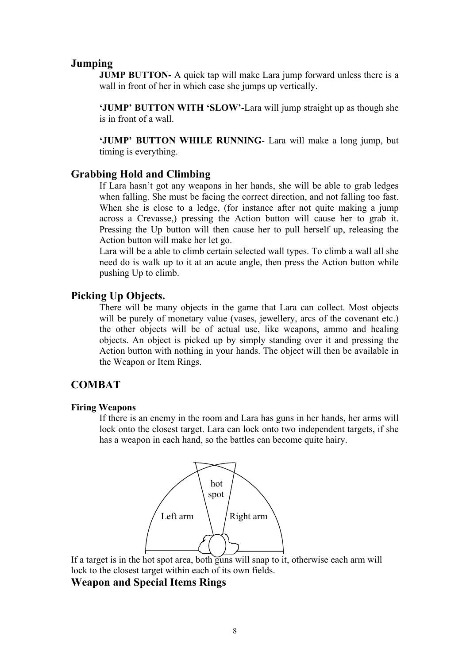## **Jumping**

**JUMP BUTTON-** A quick tap will make Lara jump forward unless there is a wall in front of her in which case she jumps up vertically.

**'JUMP' BUTTON WITH 'SLOW'-**Lara will jump straight up as though she is in front of a wall.

**'JUMP' BUTTON WHILE RUNNING**- Lara will make a long jump, but timing is everything.

## **Grabbing Hold and Climbing**

If Lara hasn't got any weapons in her hands, she will be able to grab ledges when falling. She must be facing the correct direction, and not falling too fast. When she is close to a ledge, (for instance after not quite making a jump across a Crevasse,) pressing the Action button will cause her to grab it. Pressing the Up button will then cause her to pull herself up, releasing the Action button will make her let go.

Lara will be a able to climb certain selected wall types. To climb a wall all she need do is walk up to it at an acute angle, then press the Action button while pushing Up to climb.

## **Picking Up Objects.**

There will be many objects in the game that Lara can collect. Most objects will be purely of monetary value (vases, jewellery, arcs of the covenant etc.) the other objects will be of actual use, like weapons, ammo and healing objects. An object is picked up by simply standing over it and pressing the Action button with nothing in your hands. The object will then be available in the Weapon or Item Rings.

# **COMBAT**

## **Firing Weapons**

If there is an enemy in the room and Lara has guns in her hands, her arms will lock onto the closest target. Lara can lock onto two independent targets, if she has a weapon in each hand, so the battles can become quite hairy.



If a target is in the hot spot area, both guns will snap to it, otherwise each arm will lock to the closest target within each of its own fields.

# **Weapon and Special Items Rings**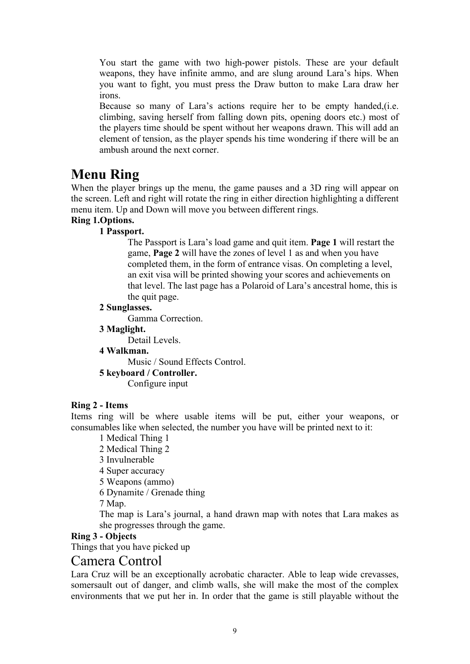You start the game with two high-power pistols. These are your default weapons, they have infinite ammo, and are slung around Lara's hips. When you want to fight, you must press the Draw button to make Lara draw her irons.

Because so many of Lara's actions require her to be empty handed,(i.e. climbing, saving herself from falling down pits, opening doors etc.) most of the players time should be spent without her weapons drawn. This will add an element of tension, as the player spends his time wondering if there will be an ambush around the next corner.

# **Menu Ring**

When the player brings up the menu, the game pauses and a 3D ring will appear on the screen. Left and right will rotate the ring in either direction highlighting a different menu item. Up and Down will move you between different rings.

# **Ring 1.Options.**

# **1 Passport.**

The Passport is Lara's load game and quit item. **Page 1** will restart the game, **Page 2** will have the zones of level 1 as and when you have completed them, in the form of entrance visas. On completing a level, an exit visa will be printed showing your scores and achievements on that level. The last page has a Polaroid of Lara's ancestral home, this is the quit page.

# **2 Sunglasses.**

Gamma Correction.

**3 Maglight.**

Detail Levels.

## **4 Walkman.**

Music / Sound Effects Control.

## **5 keyboard / Controller.**

Configure input

## **Ring 2 - Items**

Items ring will be where usable items will be put, either your weapons, or consumables like when selected, the number you have will be printed next to it:

1 Medical Thing 1

2 Medical Thing 2

3 Invulnerable

4 Super accuracy

5 Weapons (ammo)

6 Dynamite / Grenade thing

7 Map.

The map is Lara's journal, a hand drawn map with notes that Lara makes as she progresses through the game.

# **Ring 3 - Objects**

Things that you have picked up

# Camera Control

Lara Cruz will be an exceptionally acrobatic character. Able to leap wide crevasses, somersault out of danger, and climb walls, she will make the most of the complex environments that we put her in. In order that the game is still playable without the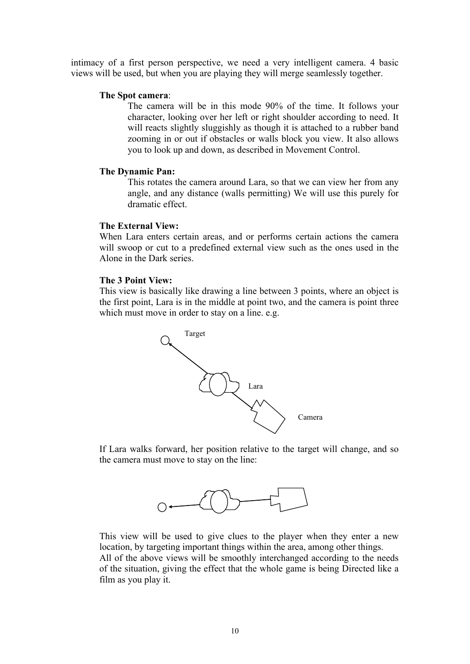intimacy of a first person perspective, we need a very intelligent camera. 4 basic views will be used, but when you are playing they will merge seamlessly together.

## **The Spot camera**:

The camera will be in this mode 90% of the time. It follows your character, looking over her left or right shoulder according to need. It will reacts slightly sluggishly as though it is attached to a rubber band zooming in or out if obstacles or walls block you view. It also allows you to look up and down, as described in Movement Control.

## **The Dynamic Pan:**

This rotates the camera around Lara, so that we can view her from any angle, and any distance (walls permitting) We will use this purely for dramatic effect.

## **The External View:**

When Lara enters certain areas, and or performs certain actions the camera will swoop or cut to a predefined external view such as the ones used in the Alone in the Dark series.

## **The 3 Point View:**

This view is basically like drawing a line between 3 points, where an object is the first point, Lara is in the middle at point two, and the camera is point three which must move in order to stay on a line. e.g.



If Lara walks forward, her position relative to the target will change, and so the camera must move to stay on the line:



This view will be used to give clues to the player when they enter a new location, by targeting important things within the area, among other things. All of the above views will be smoothly interchanged according to the needs of the situation, giving the effect that the whole game is being Directed like a film as you play it.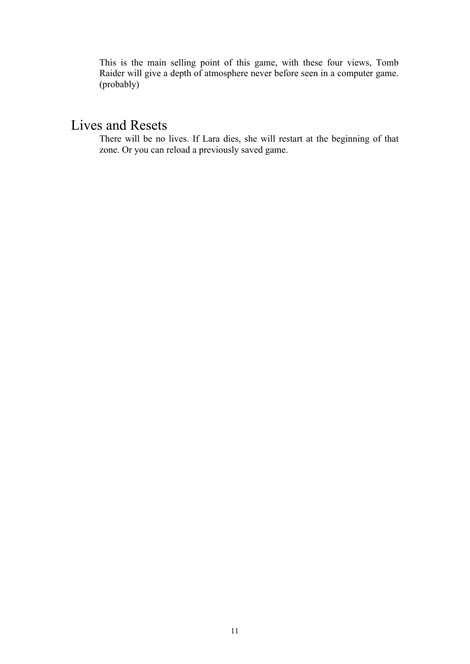This is the main selling point of this game, with these four views, Tomb Raider will give a depth of atmosphere never before seen in a computer game. (probably)

# Lives and Resets

There will be no lives. If Lara dies, she will restart at the beginning of that zone. Or you can reload a previously saved game.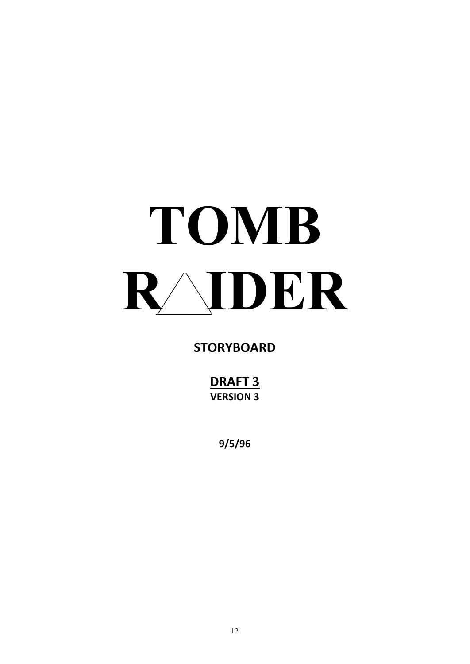# **TOMB R IDER**

# **STORYBOARD**

**DRAFT 3 VERSION 3**

**9/5/96**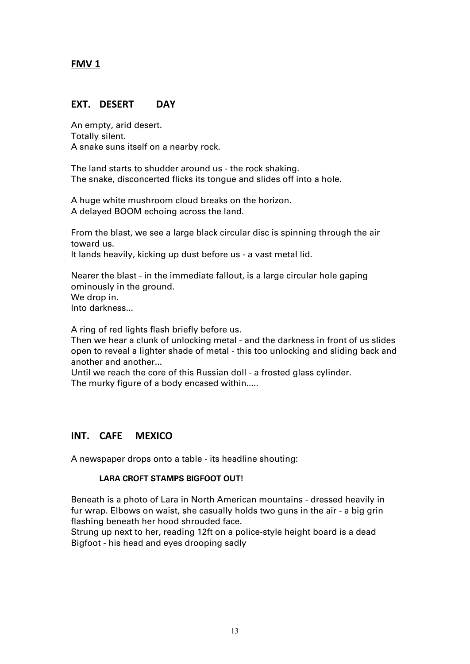# **FMV 1**

# **EXT. DESERT DAY**

An empty, arid desert. Totally silent. A snake suns itself on a nearby rock.

The land starts to shudder around us - the rock shaking. The snake, disconcerted flicks its tongue and slides off into a hole.

A huge white mushroom cloud breaks on the horizon. A delayed BOOM echoing across the land.

From the blast, we see a large black circular disc is spinning through the air toward us.

It lands heavily, kicking up dust before us - a vast metal lid.

Nearer the blast - in the immediate fallout, is a large circular hole gaping ominously in the ground. We drop in. Into darkness...

A ring of red lights flash briefly before us.

Then we hear a clunk of unlocking metal - and the darkness in front of us slides open to reveal a lighter shade of metal - this too unlocking and sliding back and another and another...

Until we reach the core of this Russian doll - a frosted glass cylinder. The murky figure of a body encased within.....

# **INT. CAFE MEXICO**

A newspaper drops onto a table - its headline shouting:

## **LARA CROFT STAMPS BIGFOOT OUT!**

Beneath is a photo of Lara in North American mountains - dressed heavily in fur wrap. Elbows on waist, she casually holds two guns in the air - a big grin flashing beneath her hood shrouded face.

Strung up next to her, reading 12ft on a police-style height board is a dead Bigfoot - his head and eyes drooping sadly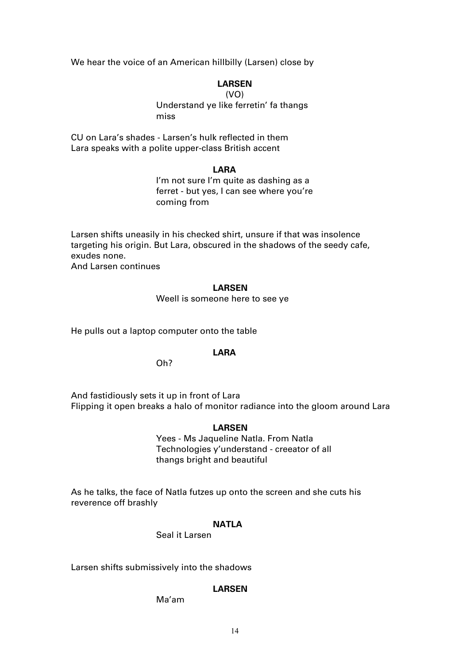We hear the voice of an American hillbilly (Larsen) close by

## **LARSEN**

## (VO)

Understand ye like ferretin' fa thangs miss

CU on Lara's shades - Larsen's hulk reflected in them Lara speaks with a polite upper-class British accent

## **LARA**

I'm not sure I'm quite as dashing as a ferret - but yes, I can see where you're coming from

Larsen shifts uneasily in his checked shirt, unsure if that was insolence targeting his origin. But Lara, obscured in the shadows of the seedy cafe, exudes none.

And Larsen continues

## **LARSEN**

Weell is someone here to see ye

He pulls out a laptop computer onto the table

## **LARA**

Oh?

And fastidiously sets it up in front of Lara Flipping it open breaks a halo of monitor radiance into the gloom around Lara

## **LARSEN**

Yees - Ms Jaqueline Natla. From Natla Technologies y'understand - creeator of all thangs bright and beautiful

As he talks, the face of Natla futzes up onto the screen and she cuts his reverence off brashly

## **NATLA**

Seal it Larsen

Larsen shifts submissively into the shadows

## **LARSEN**

Ma'am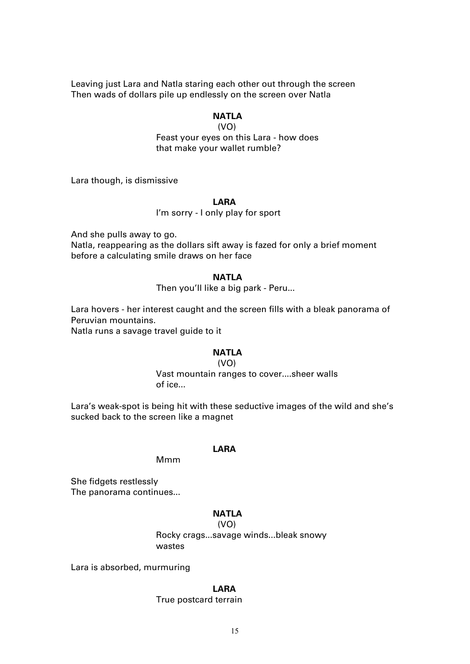Leaving just Lara and Natla staring each other out through the screen Then wads of dollars pile up endlessly on the screen over Natla

## **NATLA**

 (VO) Feast your eyes on this Lara - how does

that make your wallet rumble?

Lara though, is dismissive

#### **LARA**

I'm sorry - I only play for sport

And she pulls away to go.

Natla, reappearing as the dollars sift away is fazed for only a brief moment before a calculating smile draws on her face

## **NATLA**

Then you'll like a big park - Peru...

Lara hovers - her interest caught and the screen fills with a bleak panorama of Peruvian mountains.

Natla runs a savage travel guide to it

## **NATLA**

#### (VO)

Vast mountain ranges to cover....sheer walls of ice...

Lara's weak-spot is being hit with these seductive images of the wild and she's sucked back to the screen like a magnet

## **LARA**

Mmm

She fidgets restlessly The panorama continues...

# **NATLA**

 (VO) Rocky crags...savage winds...bleak snowy wastes

Lara is absorbed, murmuring

## **LARA**

#### True postcard terrain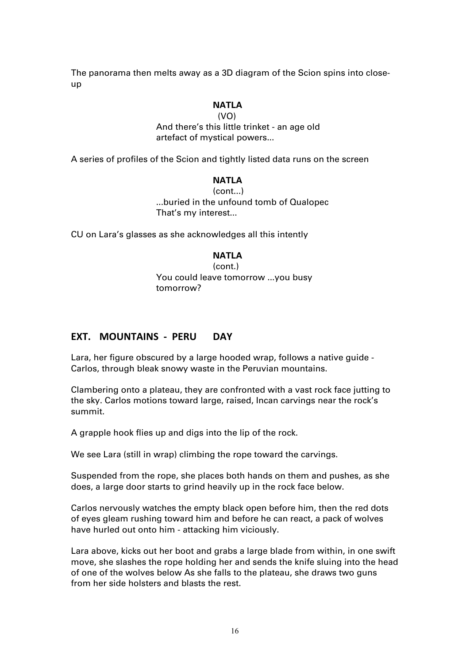The panorama then melts away as a 3D diagram of the Scion spins into closeup

## **NATLA**

 (VO) And there's this little trinket - an age old artefact of mystical powers...

A series of profiles of the Scion and tightly listed data runs on the screen

# **NATLA**

(cont...) ...buried in the unfound tomb of Qualopec That's my interest...

CU on Lara's glasses as she acknowledges all this intently

## **NATLA**

(cont.) You could leave tomorrow ...you busy tomorrow?

# **EXT. MOUNTAINS - PERU DAY**

Lara, her figure obscured by a large hooded wrap, follows a native guide - Carlos, through bleak snowy waste in the Peruvian mountains.

Clambering onto a plateau, they are confronted with a vast rock face jutting to the sky. Carlos motions toward large, raised, Incan carvings near the rock's summit.

A grapple hook flies up and digs into the lip of the rock.

We see Lara (still in wrap) climbing the rope toward the carvings.

Suspended from the rope, she places both hands on them and pushes, as she does, a large door starts to grind heavily up in the rock face below.

Carlos nervously watches the empty black open before him, then the red dots of eyes gleam rushing toward him and before he can react, a pack of wolves have hurled out onto him - attacking him viciously.

Lara above, kicks out her boot and grabs a large blade from within, in one swift move, she slashes the rope holding her and sends the knife sluing into the head of one of the wolves below As she falls to the plateau, she draws two guns from her side holsters and blasts the rest.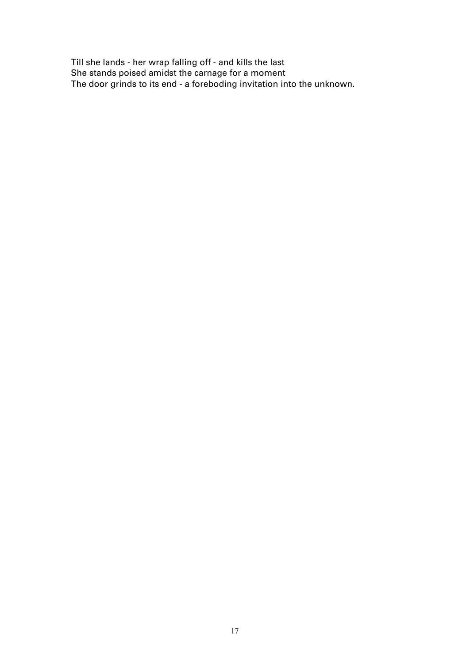Till she lands - her wrap falling off - and kills the last She stands poised amidst the carnage for a moment The door grinds to its end - a foreboding invitation into the unknown.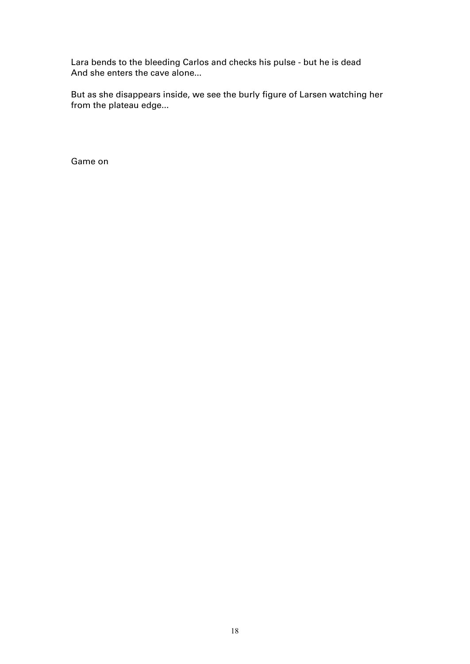Lara bends to the bleeding Carlos and checks his pulse - but he is dead And she enters the cave alone...

But as she disappears inside, we see the burly figure of Larsen watching her from the plateau edge...

Game on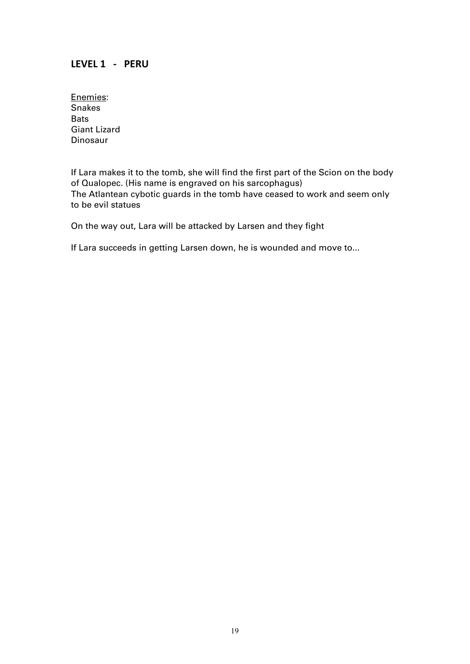# **LEVEL 1 - PERU**

Enemies: Snakes **Bats** Giant Lizard Dinosaur

If Lara makes it to the tomb, she will find the first part of the Scion on the body of Qualopec. (His name is engraved on his sarcophagus) The Atlantean cybotic guards in the tomb have ceased to work and seem only to be evil statues

On the way out, Lara will be attacked by Larsen and they fight

If Lara succeeds in getting Larsen down, he is wounded and move to...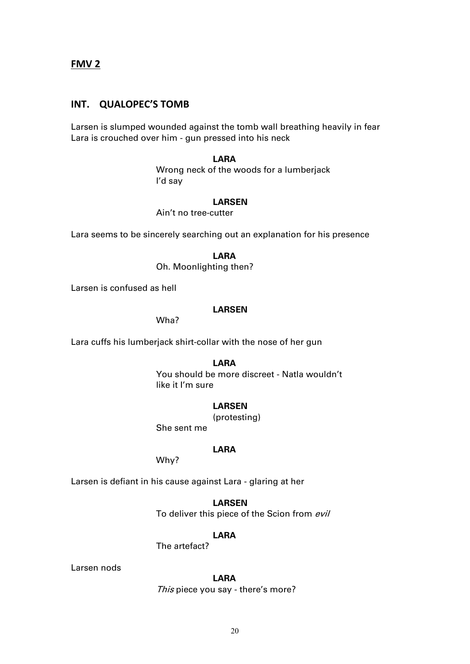**FMV 2**

## **INT. QUALOPEC'S TOMB**

Larsen is slumped wounded against the tomb wall breathing heavily in fear Lara is crouched over him - gun pressed into his neck

## **LARA**

Wrong neck of the woods for a lumberjack I'd say

## **LARSEN**

Ain't no tree-cutter

Lara seems to be sincerely searching out an explanation for his presence

**LARA**

Oh. Moonlighting then?

Larsen is confused as hell

## **LARSEN**

Wha?

Lara cuffs his lumberjack shirt-collar with the nose of her gun

**LARA**

You should be more discreet - Natla wouldn't like it I'm sure

## **LARSEN**

(protesting)

She sent me

## **LARA**

Why?

Larsen is defiant in his cause against Lara - glaring at her

**LARSEN** To deliver this piece of the Scion from evil

## **LARA**

The artefact?

## Larsen nods

**LARA** This piece you say - there's more?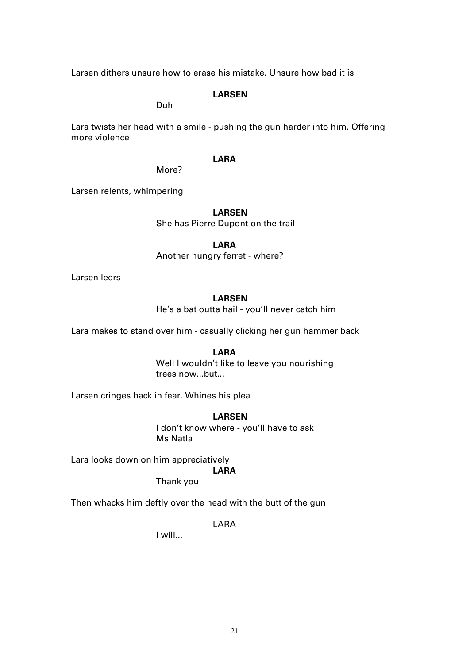Larsen dithers unsure how to erase his mistake. Unsure how bad it is

## **LARSEN**

Duh

Lara twists her head with a smile - pushing the gun harder into him. Offering more violence

## **LARA**

More?

Larsen relents, whimpering

## **LARSEN**

She has Pierre Dupont on the trail

## **LARA**

Another hungry ferret - where?

Larsen leers

## **LARSEN**

He's a bat outta hail - you'll never catch him

Lara makes to stand over him - casually clicking her gun hammer back

## **LARA**

Well I wouldn't like to leave you nourishing trees now...but...

Larsen cringes back in fear. Whines his plea

## **LARSEN**

I don't know where - you'll have to ask Ms Natla

Lara looks down on him appreciatively

# **LARA**

Thank you

Then whacks him deftly over the head with the butt of the gun

LARA

I will...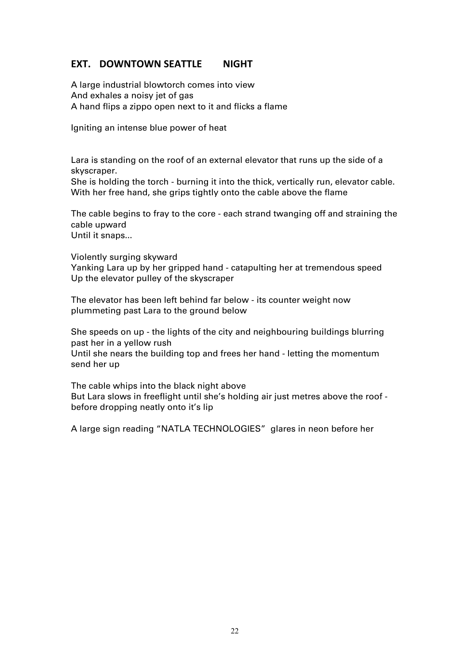# **EXT. DOWNTOWN SEATTLE NIGHT**

A large industrial blowtorch comes into view And exhales a noisy jet of gas A hand flips a zippo open next to it and flicks a flame

Igniting an intense blue power of heat

Lara is standing on the roof of an external elevator that runs up the side of a skyscraper.

She is holding the torch - burning it into the thick, vertically run, elevator cable. With her free hand, she grips tightly onto the cable above the flame

The cable begins to fray to the core - each strand twanging off and straining the cable upward

Until it snaps...

Violently surging skyward

Yanking Lara up by her gripped hand - catapulting her at tremendous speed Up the elevator pulley of the skyscraper

The elevator has been left behind far below - its counter weight now plummeting past Lara to the ground below

She speeds on up - the lights of the city and neighbouring buildings blurring past her in a yellow rush

Until she nears the building top and frees her hand - letting the momentum send her up

The cable whips into the black night above But Lara slows in freeflight until she's holding air just metres above the roof before dropping neatly onto it's lip

A large sign reading "NATLA TECHNOLOGIES" glares in neon before her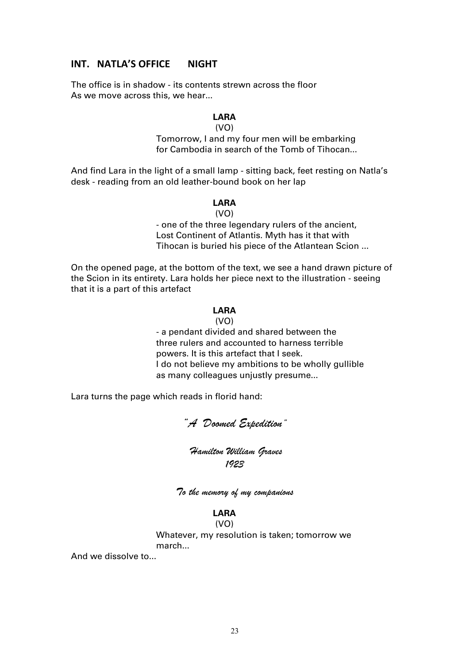# **INT. NATLA'S OFFICE NIGHT**

The office is in shadow - its contents strewn across the floor As we move across this, we hear...

# **LARA**

## (VO)

Tomorrow, I and my four men will be embarking for Cambodia in search of the Tomb of Tihocan...

And find Lara in the light of a small lamp - sitting back, feet resting on Natla's desk - reading from an old leather-bound book on her lap

## **LARA**

(VO)

- one of the three legendary rulers of the ancient, Lost Continent of Atlantis. Myth has it that with Tihocan is buried his piece of the Atlantean Scion ...

On the opened page, at the bottom of the text, we see a hand drawn picture of the Scion in its entirety. Lara holds her piece next to the illustration - seeing that it is a part of this artefact

## **LARA**

(VO)

- a pendant divided and shared between the three rulers and accounted to harness terrible powers. It is this artefact that I seek. I do not believe my ambitions to be wholly gullible as many colleagues unjustly presume...

Lara turns the page which reads in florid hand:

# *"A Doomed Expedition"*

# *Hamilton William Graves 1923*

*To the memory of my companions*

# **LARA**

(VO) Whatever, my resolution is taken; tomorrow we march...

And we dissolve to...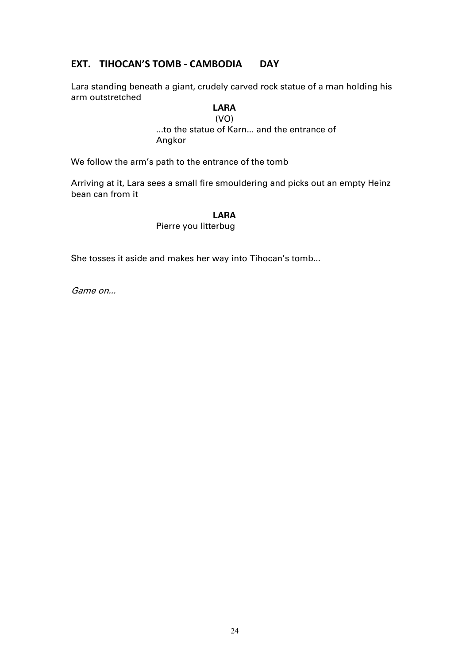# **EXT. TIHOCAN'S TOMB - CAMBODIA DAY**

Lara standing beneath a giant, crudely carved rock statue of a man holding his arm outstretched

$$
LARA
$$

$$
(VO)
$$

...to the statue of Karn... and the entrance of Angkor

We follow the arm's path to the entrance of the tomb

Arriving at it, Lara sees a small fire smouldering and picks out an empty Heinz bean can from it

## **LARA**

Pierre you litterbug

She tosses it aside and makes her way into Tihocan's tomb...

Game on...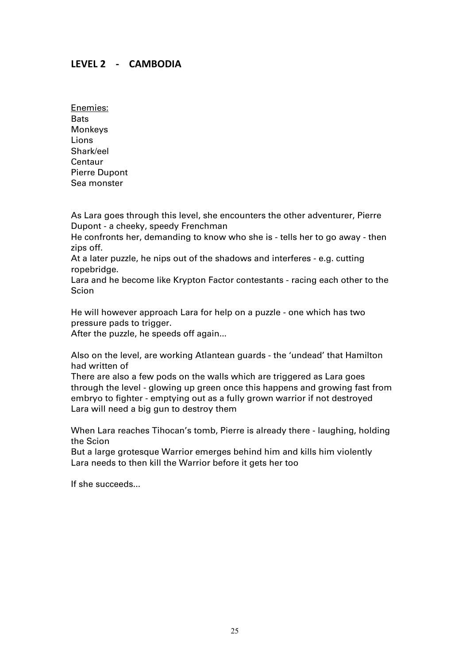# **LEVEL 2 - CAMBODIA**

Enemies: Bats Monkeys Lions Shark/eel **Centaur** Pierre Dupont Sea monster

As Lara goes through this level, she encounters the other adventurer, Pierre Dupont - a cheeky, speedy Frenchman

He confronts her, demanding to know who she is - tells her to go away - then zips off.

At a later puzzle, he nips out of the shadows and interferes - e.g. cutting ropebridge.

Lara and he become like Krypton Factor contestants - racing each other to the Scion

He will however approach Lara for help on a puzzle - one which has two pressure pads to trigger.

After the puzzle, he speeds off again...

Also on the level, are working Atlantean guards - the 'undead' that Hamilton had written of

There are also a few pods on the walls which are triggered as Lara goes through the level - glowing up green once this happens and growing fast from embryo to fighter - emptying out as a fully grown warrior if not destroyed Lara will need a big gun to destroy them

When Lara reaches Tihocan's tomb, Pierre is already there - laughing, holding the Scion

But a large grotesque Warrior emerges behind him and kills him violently Lara needs to then kill the Warrior before it gets her too

If she succeeds...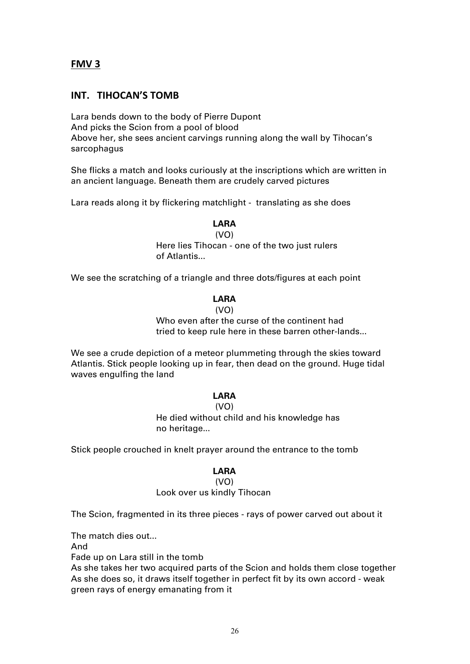# **FMV 3**

# **INT. TIHOCAN'S TOMB**

Lara bends down to the body of Pierre Dupont And picks the Scion from a pool of blood Above her, she sees ancient carvings running along the wall by Tihocan's sarcophagus

She flicks a match and looks curiously at the inscriptions which are written in an ancient language. Beneath them are crudely carved pictures

Lara reads along it by flickering matchlight - translating as she does

# **LARA**

(VO) Here lies Tihocan - one of the two just rulers

of Atlantis...

We see the scratching of a triangle and three dots/figures at each point

## **LARA**

## $(V<sub>O</sub>)$

Who even after the curse of the continent had tried to keep rule here in these barren other-lands...

We see a crude depiction of a meteor plummeting through the skies toward Atlantis. Stick people looking up in fear, then dead on the ground. Huge tidal waves engulfing the land

## **LARA**

(VO) He died without child and his knowledge has no heritage...

Stick people crouched in knelt prayer around the entrance to the tomb

## **LARA**

## (VO)

# Look over us kindly Tihocan

The Scion, fragmented in its three pieces - rays of power carved out about it

The match dies out...

And

Fade up on Lara still in the tomb

As she takes her two acquired parts of the Scion and holds them close together As she does so, it draws itself together in perfect fit by its own accord - weak green rays of energy emanating from it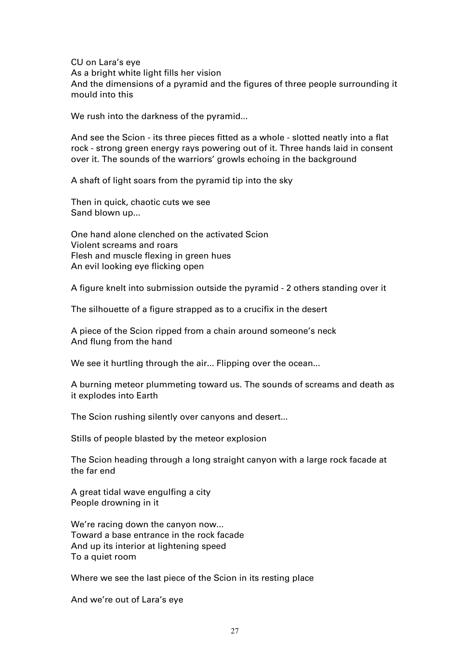CU on Lara's eye As a bright white light fills her vision And the dimensions of a pyramid and the figures of three people surrounding it mould into this

We rush into the darkness of the pyramid...

And see the Scion - its three pieces fitted as a whole - slotted neatly into a flat rock - strong green energy rays powering out of it. Three hands laid in consent over it. The sounds of the warriors' growls echoing in the background

A shaft of light soars from the pyramid tip into the sky

Then in quick, chaotic cuts we see Sand blown up...

One hand alone clenched on the activated Scion Violent screams and roars Flesh and muscle flexing in green hues An evil looking eye flicking open

A figure knelt into submission outside the pyramid - 2 others standing over it

The silhouette of a figure strapped as to a crucifix in the desert

A piece of the Scion ripped from a chain around someone's neck And flung from the hand

We see it hurtling through the air... Flipping over the ocean...

A burning meteor plummeting toward us. The sounds of screams and death as it explodes into Earth

The Scion rushing silently over canyons and desert...

Stills of people blasted by the meteor explosion

The Scion heading through a long straight canyon with a large rock facade at the far end

A great tidal wave engulfing a city People drowning in it

We're racing down the canyon now... Toward a base entrance in the rock facade And up its interior at lightening speed To a quiet room

Where we see the last piece of the Scion in its resting place

And we're out of Lara's eye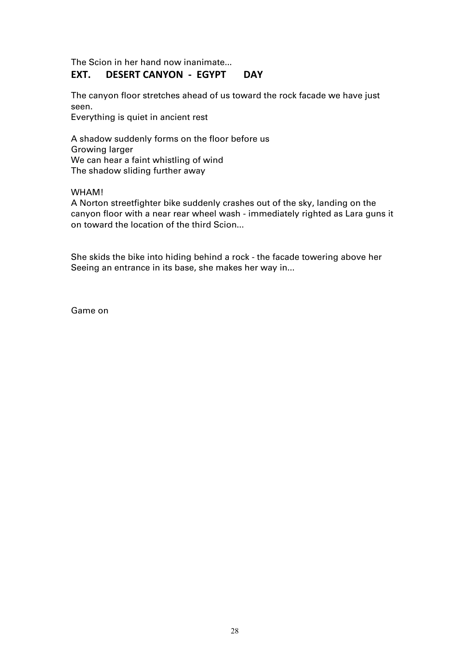The Scion in her hand now inanimate...

# **EXT. DESERT CANYON - EGYPT DAY**

The canyon floor stretches ahead of us toward the rock facade we have just seen.

Everything is quiet in ancient rest

A shadow suddenly forms on the floor before us Growing larger We can hear a faint whistling of wind The shadow sliding further away

WHAM!

A Norton streetfighter bike suddenly crashes out of the sky, landing on the canyon floor with a near rear wheel wash - immediately righted as Lara guns it on toward the location of the third Scion...

She skids the bike into hiding behind a rock - the facade towering above her Seeing an entrance in its base, she makes her way in...

Game on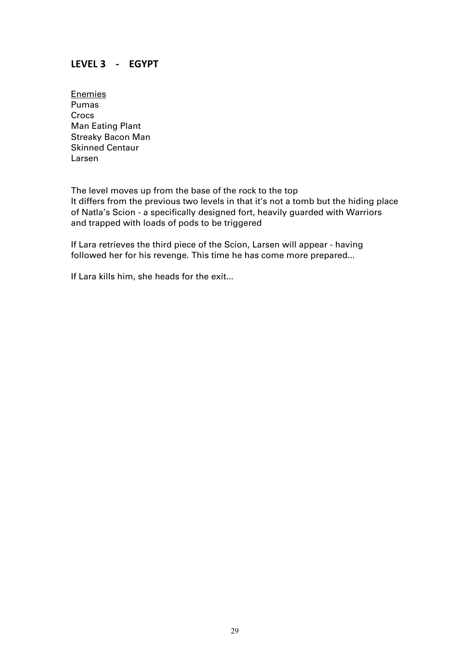# **LEVEL 3 - EGYPT**

**Enemies** Pumas Crocs Man Eating Plant Streaky Bacon Man Skinned Centaur Larsen

The level moves up from the base of the rock to the top It differs from the previous two levels in that it's not a tomb but the hiding place of Natla's Scion - a specifically designed fort, heavily guarded with Warriors and trapped with loads of pods to be triggered

If Lara retrieves the third piece of the Scion, Larsen will appear - having followed her for his revenge. This time he has come more prepared...

If Lara kills him, she heads for the exit...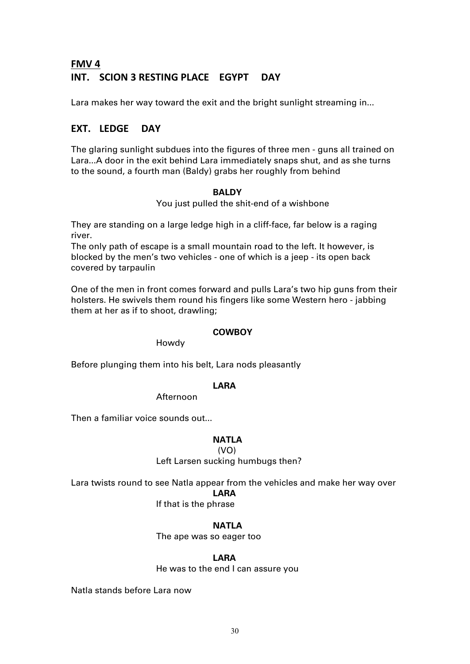# **FMV 4 INT. SCION 3 RESTING PLACE EGYPT DAY**

Lara makes her way toward the exit and the bright sunlight streaming in...

# **EXT. LEDGE DAY**

The glaring sunlight subdues into the figures of three men - guns all trained on Lara...A door in the exit behind Lara immediately snaps shut, and as she turns to the sound, a fourth man (Baldy) grabs her roughly from behind

## **BALDY**

You just pulled the shit-end of a wishbone

They are standing on a large ledge high in a cliff-face, far below is a raging river.

The only path of escape is a small mountain road to the left. It however, is blocked by the men's two vehicles - one of which is a jeep - its open back covered by tarpaulin

One of the men in front comes forward and pulls Lara's two hip guns from their holsters. He swivels them round his fingers like some Western hero - jabbing them at her as if to shoot, drawling;

## **COWBOY**

Howdy

Before plunging them into his belt, Lara nods pleasantly

## **LARA**

Afternoon

Then a familiar voice sounds out...

## **NATLA**

(VO)

Left Larsen sucking humbugs then?

Lara twists round to see Natla appear from the vehicles and make her way over

**LARA**

If that is the phrase

**NATLA**

The ape was so eager too

## **LARA**

He was to the end I can assure you

Natla stands before Lara now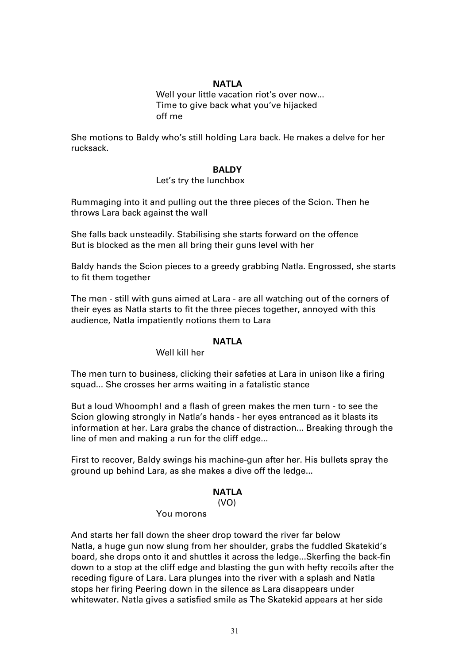## **NATLA**

Well your little vacation riot's over now... Time to give back what you've hijacked off me

She motions to Baldy who's still holding Lara back. He makes a delve for her rucksack.

## **BALDY**

## Let's try the lunchbox

Rummaging into it and pulling out the three pieces of the Scion. Then he throws Lara back against the wall

She falls back unsteadily. Stabilising she starts forward on the offence But is blocked as the men all bring their guns level with her

Baldy hands the Scion pieces to a greedy grabbing Natla. Engrossed, she starts to fit them together

The men - still with guns aimed at Lara - are all watching out of the corners of their eyes as Natla starts to fit the three pieces together, annoyed with this audience, Natla impatiently notions them to Lara

## **NATLA**

## Well kill her

The men turn to business, clicking their safeties at Lara in unison like a firing squad... She crosses her arms waiting in a fatalistic stance

But a loud Whoomph! and a flash of green makes the men turn - to see the Scion glowing strongly in Natla's hands - her eyes entranced as it blasts its information at her. Lara grabs the chance of distraction... Breaking through the line of men and making a run for the cliff edge...

First to recover, Baldy swings his machine-gun after her. His bullets spray the ground up behind Lara, as she makes a dive off the ledge...

## **NATLA**

(VO)

## You morons

And starts her fall down the sheer drop toward the river far below Natla, a huge gun now slung from her shoulder, grabs the fuddled Skatekid's board, she drops onto it and shuttles it across the ledge...Skerfing the back-fin down to a stop at the cliff edge and blasting the gun with hefty recoils after the receding figure of Lara. Lara plunges into the river with a splash and Natla stops her firing Peering down in the silence as Lara disappears under whitewater. Natla gives a satisfied smile as The Skatekid appears at her side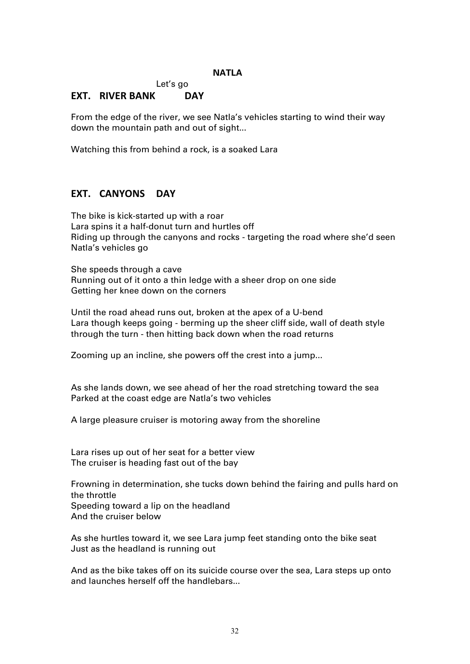## **NATLA**

Let's go

# **EXT. RIVER BANK DAY**

From the edge of the river, we see Natla's vehicles starting to wind their way down the mountain path and out of sight...

Watching this from behind a rock, is a soaked Lara

# **EXT. CANYONS DAY**

The bike is kick-started up with a roar Lara spins it a half-donut turn and hurtles off Riding up through the canyons and rocks - targeting the road where she'd seen Natla's vehicles go

She speeds through a cave Running out of it onto a thin ledge with a sheer drop on one side Getting her knee down on the corners

Until the road ahead runs out, broken at the apex of a U-bend Lara though keeps going - berming up the sheer cliff side, wall of death style through the turn - then hitting back down when the road returns

Zooming up an incline, she powers off the crest into a jump...

As she lands down, we see ahead of her the road stretching toward the sea Parked at the coast edge are Natla's two vehicles

A large pleasure cruiser is motoring away from the shoreline

Lara rises up out of her seat for a better view The cruiser is heading fast out of the bay

Frowning in determination, she tucks down behind the fairing and pulls hard on the throttle Speeding toward a lip on the headland

And the cruiser below

As she hurtles toward it, we see Lara jump feet standing onto the bike seat Just as the headland is running out

And as the bike takes off on its suicide course over the sea, Lara steps up onto and launches herself off the handlebars...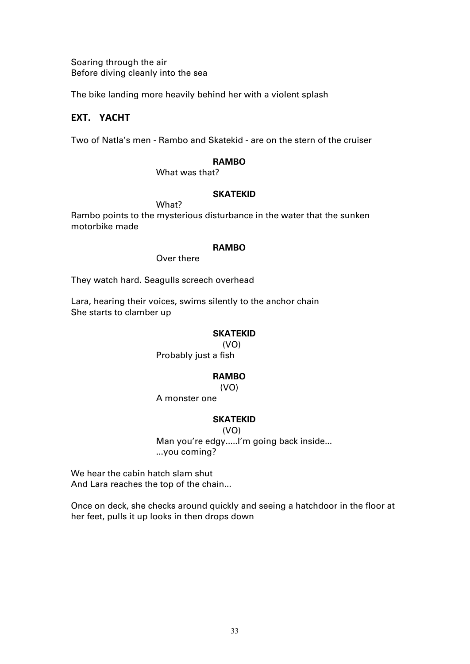Soaring through the air Before diving cleanly into the sea

The bike landing more heavily behind her with a violent splash

# **EXT. YACHT**

Two of Natla's men - Rambo and Skatekid - are on the stern of the cruiser

## **RAMBO**

What was that?

## **SKATEKID**

Rambo points to the mysterious disturbance in the water that the sunken motorbike made

## **RAMBO**

Over there

What?

They watch hard. Seagulls screech overhead

Lara, hearing their voices, swims silently to the anchor chain She starts to clamber up

## **SKATEKID**

(VO)

Probably just a fish

## **RAMBO**

(VO)

## A monster one

## **SKATEKID**

(VO)

Man you're edgy.....I'm going back inside... ...you coming?

We hear the cabin hatch slam shut And Lara reaches the top of the chain...

Once on deck, she checks around quickly and seeing a hatchdoor in the floor at her feet, pulls it up looks in then drops down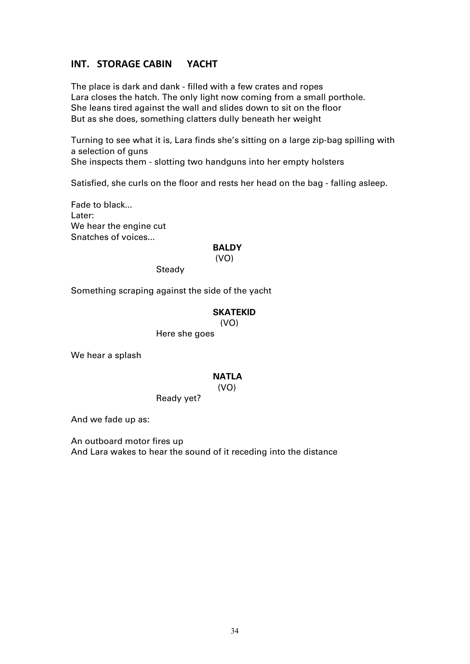# **INT. STORAGE CABIN YACHT**

The place is dark and dank - filled with a few crates and ropes Lara closes the hatch. The only light now coming from a small porthole. She leans tired against the wall and slides down to sit on the floor But as she does, something clatters dully beneath her weight

Turning to see what it is, Lara finds she's sitting on a large zip-bag spilling with a selection of guns

She inspects them - slotting two handguns into her empty holsters

Satisfied, she curls on the floor and rests her head on the bag - falling asleep.

Fade to black... Later: We hear the engine cut Snatches of voices...

## **BALDY**

#### (VO)

**Steady** 

Something scraping against the side of the yacht

## **SKATEKID**

(VO)

Here she goes

We hear a splash

## **NATLA**

(VO)

Ready yet?

And we fade up as:

An outboard motor fires up And Lara wakes to hear the sound of it receding into the distance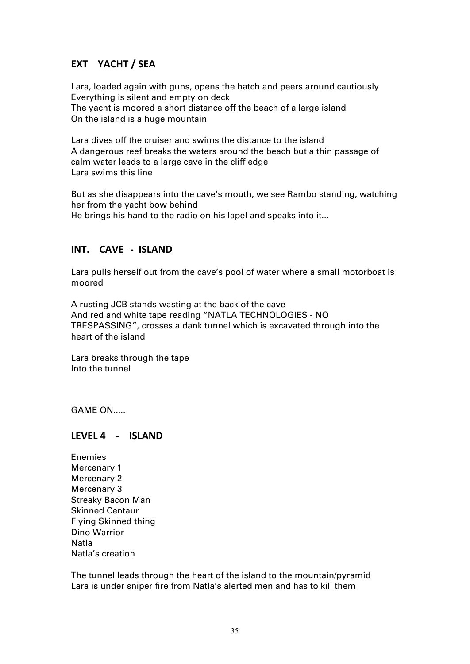# **EXT YACHT / SEA**

Lara, loaded again with guns, opens the hatch and peers around cautiously Everything is silent and empty on deck The yacht is moored a short distance off the beach of a large island On the island is a huge mountain

Lara dives off the cruiser and swims the distance to the island A dangerous reef breaks the waters around the beach but a thin passage of calm water leads to a large cave in the cliff edge Lara swims this line

But as she disappears into the cave's mouth, we see Rambo standing, watching her from the yacht bow behind He brings his hand to the radio on his lapel and speaks into it...

# **INT. CAVE - ISLAND**

Lara pulls herself out from the cave's pool of water where a small motorboat is moored

A rusting JCB stands wasting at the back of the cave And red and white tape reading "NATLA TECHNOLOGIES - NO TRESPASSING", crosses a dank tunnel which is excavated through into the heart of the island

Lara breaks through the tape Into the tunnel

GAME ON.....

# **LEVEL 4 - ISLAND**

Enemies Mercenary 1 Mercenary 2 Mercenary 3 Streaky Bacon Man Skinned Centaur Flying Skinned thing Dino Warrior Natla Natla's creation

The tunnel leads through the heart of the island to the mountain/pyramid Lara is under sniper fire from Natla's alerted men and has to kill them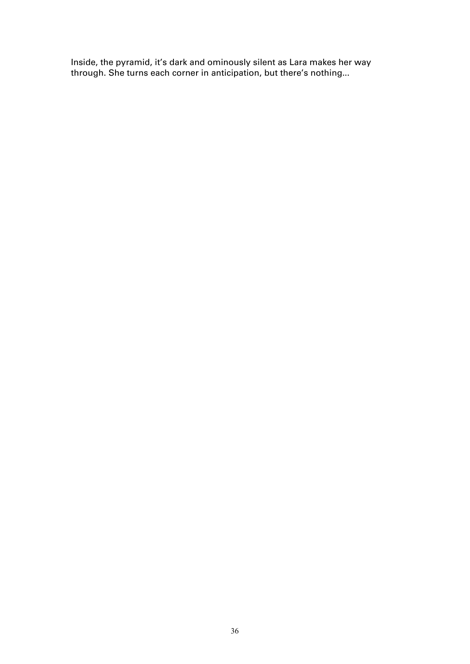Inside, the pyramid, it's dark and ominously silent as Lara makes her way through. She turns each corner in anticipation, but there's nothing...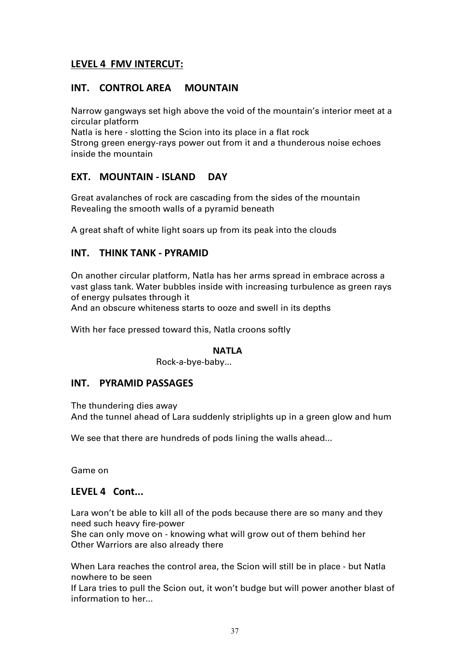# **LEVEL 4 FMV INTERCUT:**

# **INT. CONTROL AREA MOUNTAIN**

Narrow gangways set high above the void of the mountain's interior meet at a circular platform

Natla is here - slotting the Scion into its place in a flat rock Strong green energy-rays power out from it and a thunderous noise echoes inside the mountain

# **EXT. MOUNTAIN - ISLAND DAY**

Great avalanches of rock are cascading from the sides of the mountain Revealing the smooth walls of a pyramid beneath

A great shaft of white light soars up from its peak into the clouds

# **INT. THINK TANK - PYRAMID**

On another circular platform, Natla has her arms spread in embrace across a vast glass tank. Water bubbles inside with increasing turbulence as green rays of energy pulsates through it

And an obscure whiteness starts to ooze and swell in its depths

With her face pressed toward this, Natla croons softly

# **NATLA**

Rock-a-bye-baby...

# **INT. PYRAMID PASSAGES**

The thundering dies away And the tunnel ahead of Lara suddenly striplights up in a green glow and hum

We see that there are hundreds of pods lining the walls ahead...

Game on

# **LEVEL 4 Cont...**

Lara won't be able to kill all of the pods because there are so many and they need such heavy fire-power

She can only move on - knowing what will grow out of them behind her Other Warriors are also already there

When Lara reaches the control area, the Scion will still be in place - but Natla nowhere to be seen

If Lara tries to pull the Scion out, it won't budge but will power another blast of information to her...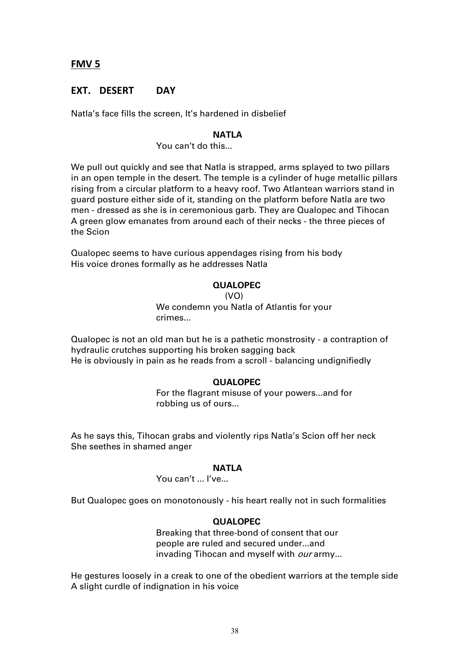# **FMV 5**

# **EXT. DESERT DAY**

Natla's face fills the screen, It's hardened in disbelief

## **NATLA**

You can't do this...

We pull out quickly and see that Natla is strapped, arms splayed to two pillars in an open temple in the desert. The temple is a cylinder of huge metallic pillars rising from a circular platform to a heavy roof. Two Atlantean warriors stand in guard posture either side of it, standing on the platform before Natla are two men - dressed as she is in ceremonious garb. They are Qualopec and Tihocan A green glow emanates from around each of their necks - the three pieces of the Scion

Qualopec seems to have curious appendages rising from his body His voice drones formally as he addresses Natla

## **QUALOPEC**

(VO)

We condemn you Natla of Atlantis for your crimes...

Qualopec is not an old man but he is a pathetic monstrosity - a contraption of hydraulic crutches supporting his broken sagging back He is obviously in pain as he reads from a scroll - balancing undignifiedly

## **QUALOPEC**

For the flagrant misuse of your powers...and for robbing us of ours...

As he says this, Tihocan grabs and violently rips Natla's Scion off her neck She seethes in shamed anger

#### **NATLA**

You can't ... I've...

But Qualopec goes on monotonously - his heart really not in such formalities

## **QUALOPEC**

Breaking that three-bond of consent that our people are ruled and secured under...and invading Tihocan and myself with our army...

He gestures loosely in a creak to one of the obedient warriors at the temple side A slight curdle of indignation in his voice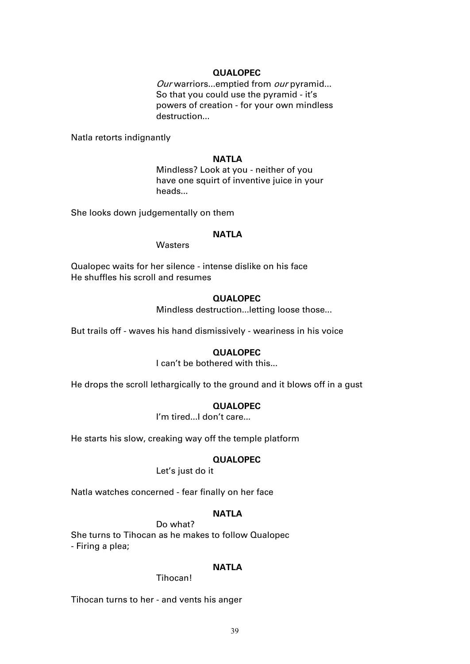## **QUALOPEC**

Our warriors...emptied from our pyramid... So that you could use the pyramid - it's powers of creation - for your own mindless destruction...

Natla retorts indignantly

## **NATLA**

Mindless? Look at you - neither of you have one squirt of inventive juice in your heads...

She looks down judgementally on them

## **NATLA**

**Wasters** 

Qualopec waits for her silence - intense dislike on his face He shuffles his scroll and resumes

## **QUALOPEC**

Mindless destruction...letting loose those...

But trails off - waves his hand dismissively - weariness in his voice

## **QUALOPEC**

I can't be bothered with this...

He drops the scroll lethargically to the ground and it blows off in a gust

## **QUALOPEC**

I'm tired...I don't care...

He starts his slow, creaking way off the temple platform

## **QUALOPEC**

Let's just do it

Natla watches concerned - fear finally on her face

# **NATLA**

Do what?

She turns to Tihocan as he makes to follow Qualopec - Firing a plea;

## **NATLA**

## Tihocan!

Tihocan turns to her - and vents his anger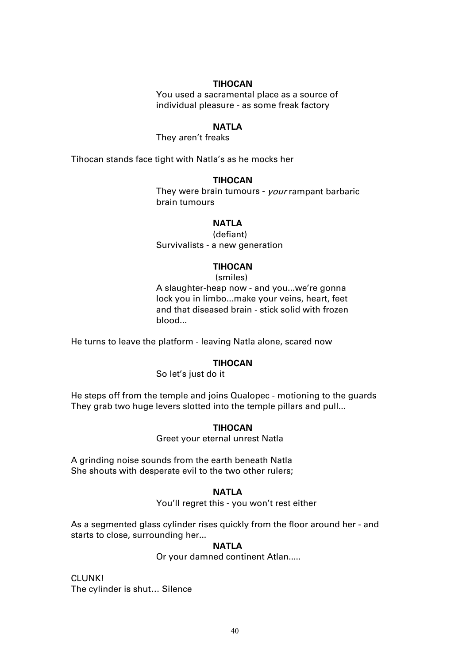## **TIHOCAN**

You used a sacramental place as a source of individual pleasure - as some freak factory

# **NATLA**

They aren't freaks

Tihocan stands face tight with Natla's as he mocks her

## **TIHOCAN**

They were brain tumours - your rampant barbaric brain tumours

# **NATLA**

(defiant) Survivalists - a new generation

## **TIHOCAN**

(smiles) A slaughter-heap now - and you...we're gonna lock you in limbo...make your veins, heart, feet and that diseased brain - stick solid with frozen blood...

He turns to leave the platform - leaving Natla alone, scared now

## **TIHOCAN**

So let's just do it

He steps off from the temple and joins Qualopec - motioning to the guards They grab two huge levers slotted into the temple pillars and pull...

## **TIHOCAN**

Greet your eternal unrest Natla

A grinding noise sounds from the earth beneath Natla She shouts with desperate evil to the two other rulers;

#### **NATLA**

You'll regret this - you won't rest either

As a segmented glass cylinder rises quickly from the floor around her - and starts to close, surrounding her...

## **NATLA**

Or your damned continent Atlan.....

CLUNK! The cylinder is shut… Silence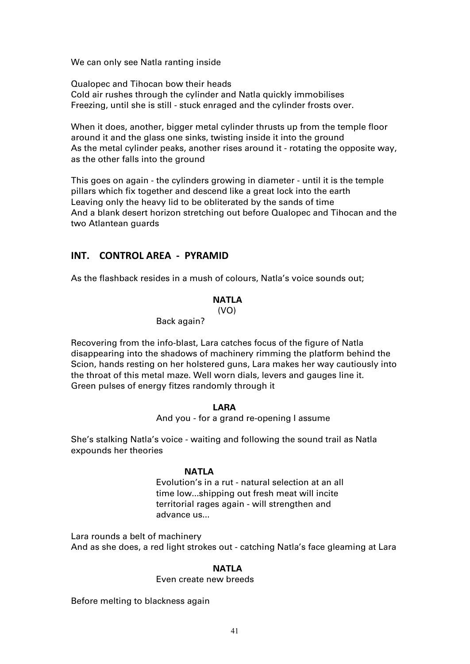We can only see Natla ranting inside

Qualopec and Tihocan bow their heads Cold air rushes through the cylinder and Natla quickly immobilises Freezing, until she is still - stuck enraged and the cylinder frosts over.

When it does, another, bigger metal cylinder thrusts up from the temple floor around it and the glass one sinks, twisting inside it into the ground As the metal cylinder peaks, another rises around it - rotating the opposite way, as the other falls into the ground

This goes on again - the cylinders growing in diameter - until it is the temple pillars which fix together and descend like a great lock into the earth Leaving only the heavy lid to be obliterated by the sands of time And a blank desert horizon stretching out before Qualopec and Tihocan and the two Atlantean guards

# **INT. CONTROL AREA - PYRAMID**

As the flashback resides in a mush of colours, Natla's voice sounds out;

# **NATLA**

(VO)

Back again?

Recovering from the info-blast, Lara catches focus of the figure of Natla disappearing into the shadows of machinery rimming the platform behind the Scion, hands resting on her holstered guns, Lara makes her way cautiously into the throat of this metal maze. Well worn dials, levers and gauges line it. Green pulses of energy fitzes randomly through it

## **LARA**

And you - for a grand re-opening I assume

She's stalking Natla's voice - waiting and following the sound trail as Natla expounds her theories

## **NATLA**

Evolution's in a rut - natural selection at an all time low...shipping out fresh meat will incite territorial rages again - will strengthen and advance us...

Lara rounds a belt of machinery And as she does, a red light strokes out - catching Natla's face gleaming at Lara

## **NATLA**

## Even create new breeds

Before melting to blackness again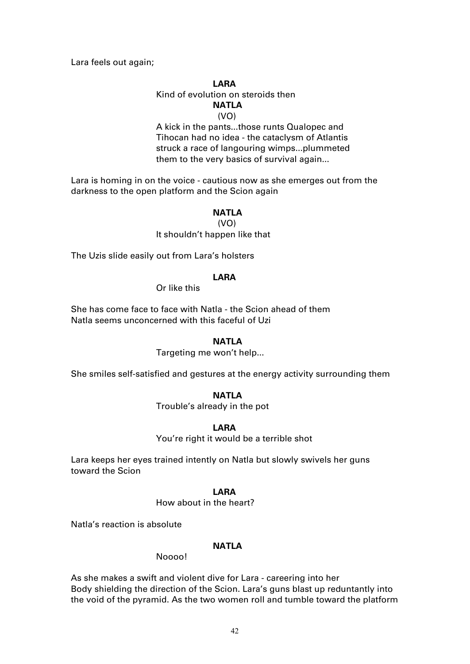Lara feels out again;

## **LARA**

## Kind of evolution on steroids then **NATLA** (VO)

A kick in the pants...those runts Qualopec and Tihocan had no idea - the cataclysm of Atlantis struck a race of langouring wimps...plummeted them to the very basics of survival again...

Lara is homing in on the voice - cautious now as she emerges out from the darkness to the open platform and the Scion again

## **NATLA**

 (VO) It shouldn't happen like that

The Uzis slide easily out from Lara's holsters

## **LARA**

Or like this

She has come face to face with Natla - the Scion ahead of them Natla seems unconcerned with this faceful of Uzi

## **NATLA**

Targeting me won't help...

She smiles self-satisfied and gestures at the energy activity surrounding them

## **NATLA**

Trouble's already in the pot

#### **LARA**

You're right it would be a terrible shot

Lara keeps her eyes trained intently on Natla but slowly swivels her guns toward the Scion

#### **LARA**

How about in the heart?

Natla's reaction is absolute

## **NATLA**

## Noooo!

As she makes a swift and violent dive for Lara - careering into her Body shielding the direction of the Scion. Lara's guns blast up reduntantly into the void of the pyramid. As the two women roll and tumble toward the platform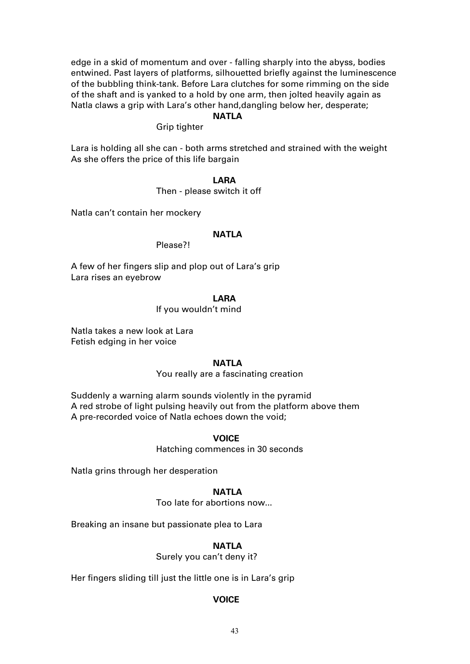edge in a skid of momentum and over - falling sharply into the abyss, bodies entwined. Past layers of platforms, silhouetted briefly against the luminescence of the bubbling think-tank. Before Lara clutches for some rimming on the side of the shaft and is yanked to a hold by one arm, then jolted heavily again as Natla claws a grip with Lara's other hand,dangling below her, desperate;

## **NATLA**

Grip tighter

Lara is holding all she can - both arms stretched and strained with the weight As she offers the price of this life bargain

#### **LARA**

## Then - please switch it off

Natla can't contain her mockery

# **NATLA**

Please?!

A few of her fingers slip and plop out of Lara's grip Lara rises an eyebrow

## **LARA**

If you wouldn't mind

Natla takes a new look at Lara Fetish edging in her voice

## **NATLA**

You really are a fascinating creation

Suddenly a warning alarm sounds violently in the pyramid A red strobe of light pulsing heavily out from the platform above them A pre-recorded voice of Natla echoes down the void;

#### **VOICE**

Hatching commences in 30 seconds

Natla grins through her desperation

#### **NATLA**

Too late for abortions now...

Breaking an insane but passionate plea to Lara

## **NATLA**

Surely you can't deny it?

Her fingers sliding till just the little one is in Lara's grip

#### **VOICE**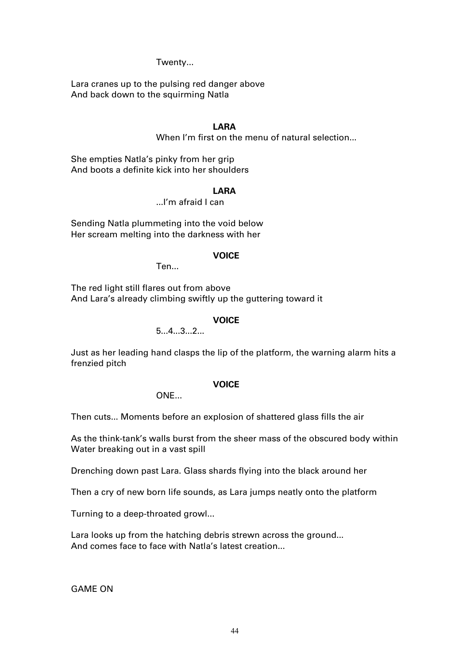## Twenty...

Lara cranes up to the pulsing red danger above And back down to the squirming Natla

# **LARA**

When I'm first on the menu of natural selection...

She empties Natla's pinky from her grip And boots a definite kick into her shoulders

## **LARA**

...I'm afraid I can

Sending Natla plummeting into the void below Her scream melting into the darkness with her

## **VOICE**

Ten...

The red light still flares out from above And Lara's already climbing swiftly up the guttering toward it

## **VOICE**

5...4...3...2...

Just as her leading hand clasps the lip of the platform, the warning alarm hits a frenzied pitch

## **VOICE**

 $ONF$ 

Then cuts... Moments before an explosion of shattered glass fills the air

As the think-tank's walls burst from the sheer mass of the obscured body within Water breaking out in a vast spill

Drenching down past Lara. Glass shards flying into the black around her

Then a cry of new born life sounds, as Lara jumps neatly onto the platform

Turning to a deep-throated growl...

Lara looks up from the hatching debris strewn across the ground... And comes face to face with Natla's latest creation...

GAME ON